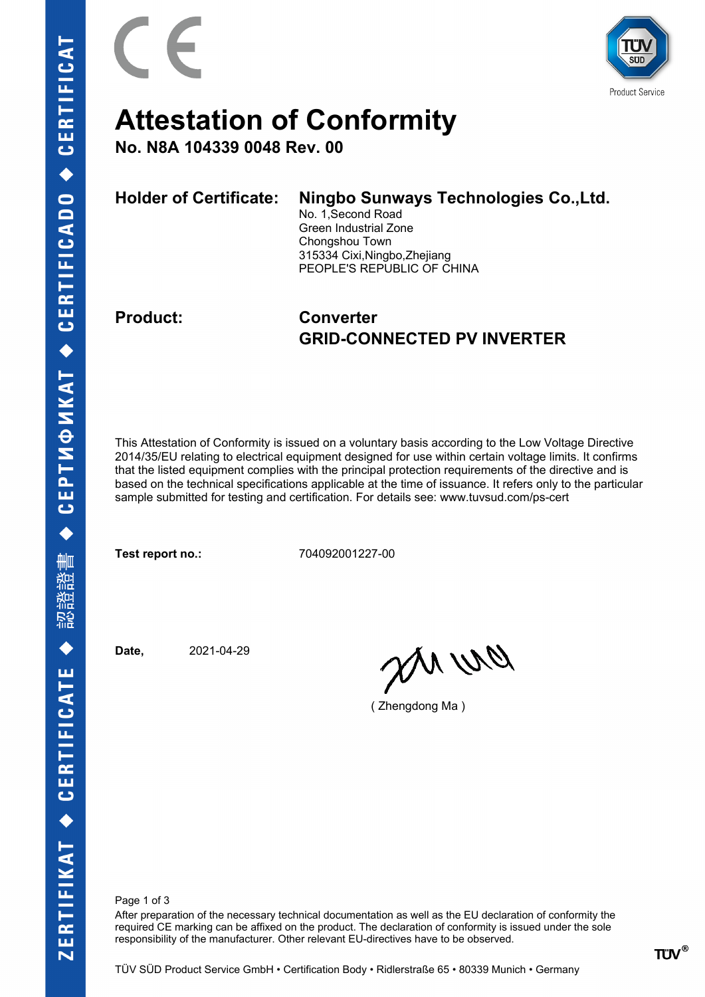

## **Attestation of Conformity**

**No. N8A 104339 0048 Rev. 00**

| <b>Holder of Certificate:</b> | Ningbo Sunways Technologies Co., Ltd.<br>No. 1, Second Road<br>Green Industrial Zone<br>Chongshou Town<br>315334 Cixi, Ningbo, Zhejiang<br>PEOPLE'S REPUBLIC OF CHINA |
|-------------------------------|-----------------------------------------------------------------------------------------------------------------------------------------------------------------------|
|                               |                                                                                                                                                                       |

### **Product: Converter GRID-CONNECTED PV INVERTER**

This Attestation of Conformity is issued on a voluntary basis according to the Low Voltage Directive 2014/35/EU relating to electrical equipment designed for use within certain voltage limits. It confirms that the listed equipment complies with the principal protection requirements of the directive and is based on the technical specifications applicable at the time of issuance. It refers only to the particular sample submitted for testing and certification. For details see: www.tuvsud.com/ps-cert

**Test report no.:** 704092001227-00

**Date,** 2021-04-29

an ma

( Zhengdong Ma )

Page 1 of 3

After preparation of the necessary technical documentation as well as the EU declaration of conformity the required CE marking can be affixed on the product. The declaration of conformity is issued under the sole responsibility of the manufacturer. Other relevant EU-directives have to be observed.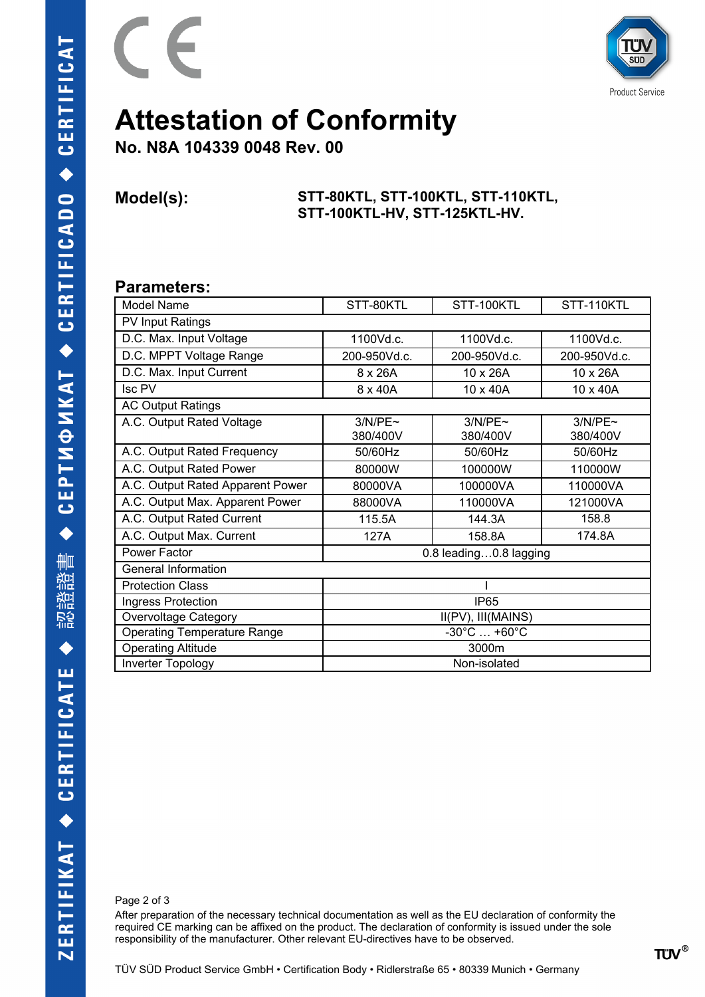



## **Attestation of Conformity**

**No. N8A 104339 0048 Rev. 00**

#### **Model(s): STT-80KTL, STT-100KTL, STT-110KTL, STT-100KTL-HV, STT-125KTL-HV.**

### **Parameters:**

| Model Name                         | STT-80KTL                        | STT-100KTL          | STT-110KTL          |  |
|------------------------------------|----------------------------------|---------------------|---------------------|--|
| PV Input Ratings                   |                                  |                     |                     |  |
| D.C. Max. Input Voltage            | 1100Vd.c.                        | 1100Vd.c.           | 1100Vd.c.           |  |
| D.C. MPPT Voltage Range            | 200-950Vd.c.                     | 200-950Vd.c.        | 200-950Vd.c.        |  |
| D.C. Max. Input Current            | 8 x 26A                          | 10 x 26A            | 10 x 26A            |  |
| <b>Isc PV</b>                      | 8 x 40A                          | 10 x 40A            | 10 x 40A            |  |
| <b>AC Output Ratings</b>           |                                  |                     |                     |  |
| A.C. Output Rated Voltage          | 3/N/PE~<br>380/400V              | 3/N/PE~<br>380/400V | 3/N/PE~<br>380/400V |  |
| A.C. Output Rated Frequency        | 50/60Hz                          | 50/60Hz             | 50/60Hz             |  |
| A.C. Output Rated Power            | 80000W                           | 100000W             | 110000W             |  |
| A.C. Output Rated Apparent Power   | 80000VA                          | 100000VA            | 110000VA            |  |
| A.C. Output Max. Apparent Power    | 88000VA                          | 110000VA            | 121000VA            |  |
| A.C. Output Rated Current          | 115.5A                           | 144.3A              | 158.8               |  |
| A.C. Output Max. Current           | 127A                             | 158.8A              | 174.8A              |  |
| Power Factor                       | 0.8 leading0.8 lagging           |                     |                     |  |
| General Information                |                                  |                     |                     |  |
| <b>Protection Class</b>            |                                  |                     |                     |  |
| Ingress Protection                 | <b>IP65</b>                      |                     |                     |  |
| <b>Overvoltage Category</b>        | II(PV), III(MAINS)               |                     |                     |  |
| <b>Operating Temperature Range</b> | $-30^{\circ}$ C $ +60^{\circ}$ C |                     |                     |  |
| <b>Operating Altitude</b>          | 3000m                            |                     |                     |  |
| Inverter Topology                  | Non-isolated                     |                     |                     |  |

Page 2 of 3

After preparation of the necessary technical documentation as well as the EU declaration of conformity the required CE marking can be affixed on the product. The declaration of conformity is issued under the sole responsibility of the manufacturer. Other relevant EU-directives have to be observed.